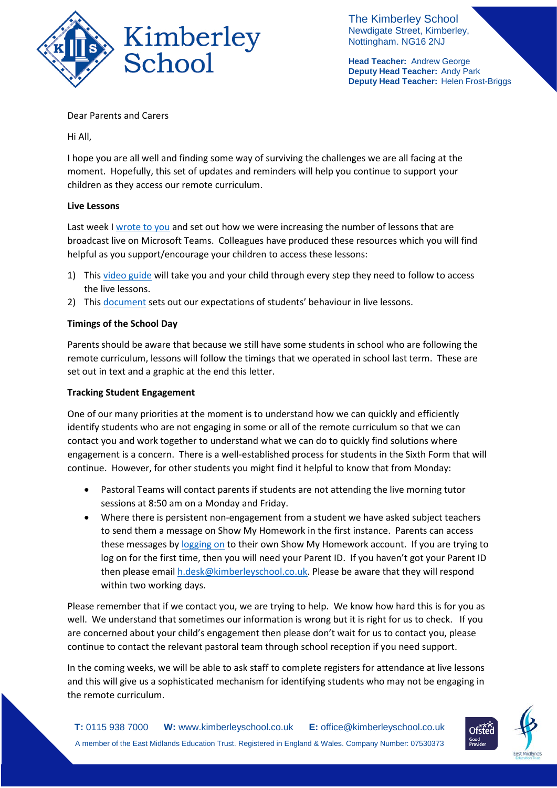

The Kimberley School Newdigate Street, Kimberley, Nottingham. NG16 2NJ

**Head Teacher:** Andrew George **Deputy Head Teacher:** Andy Park **Deputy Head Teacher:** Helen Frost-Briggs

Dear Parents and Carers

Hi All,

I hope you are all well and finding some way of surviving the challenges we are all facing at the moment. Hopefully, this set of updates and reminders will help you continue to support your children as they access our remote curriculum.

# **Live Lessons**

Last week I [wrote to you](https://676e78de-15d9-46b7-9fcd-a49f46e58722.filesusr.com/ugd/b2657a_a04a79da78ea4dbea49ed8ae02ef9dd6.pdf) and set out how we were increasing the number of lessons that are broadcast live on Microsoft Teams. Colleagues have produced these resources which you will find helpful as you support/encourage your children to access these lessons:

- 1) This [video guide](https://youtu.be/_Rhzsuf8rig) will take you and your child through every step they need to follow to access the live lessons.
- 2) This [document](https://676e78de-15d9-46b7-9fcd-a49f46e58722.filesusr.com/ugd/b2657a_812e8823c3d94c23abad02c6fb1bd1ee.pdf) sets out our expectations of students' behaviour in live lessons.

# **Timings of the School Day**

Parents should be aware that because we still have some students in school who are following the remote curriculum, lessons will follow the timings that we operated in school last term. These are set out in text and a graphic at the end this letter.

#### **Tracking Student Engagement**

One of our many priorities at the moment is to understand how we can quickly and efficiently identify students who are not engaging in some or all of the remote curriculum so that we can contact you and work together to understand what we can do to quickly find solutions where engagement is a concern. There is a well-established process for students in the Sixth Form that will continue. However, for other students you might find it helpful to know that from Monday:

- Pastoral Teams will contact parents if students are not attending the live morning tutor sessions at 8:50 am on a Monday and Friday.
- Where there is persistent non-engagement from a student we have asked subject teachers to send them a message on Show My Homework in the first instance. Parents can access these messages by [logging](https://help.satchelone.com/en/articles/2912165-logging-in-as-a-parent) on to their own Show My Homework account. If you are trying to log on for the first time, then you will need your Parent ID. If you haven't got your Parent ID then please emai[l h.desk@kimberleyschool.co.uk.](mailto:h.desk@kimberleyschool.co.uk) Please be aware that they will respond within two working days.

Please remember that if we contact you, we are trying to help. We know how hard this is for you as well. We understand that sometimes our information is wrong but it is right for us to check. If you are concerned about your child's engagement then please don't wait for us to contact you, please continue to contact the relevant pastoral team through school reception if you need support.

In the coming weeks, we will be able to ask staff to complete registers for attendance at live lessons and this will give us a sophisticated mechanism for identifying students who may not be engaging in the remote curriculum.

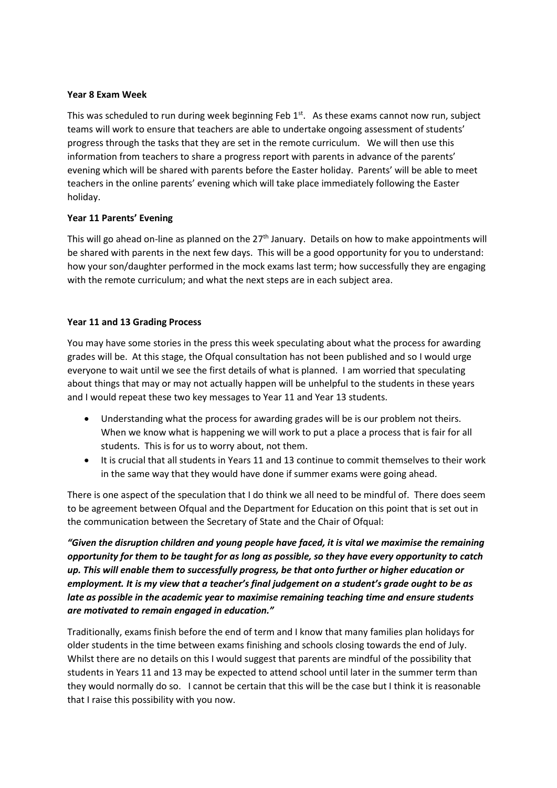#### **Year 8 Exam Week**

This was scheduled to run during week beginning Feb 1<sup>st</sup>. As these exams cannot now run, subject teams will work to ensure that teachers are able to undertake ongoing assessment of students' progress through the tasks that they are set in the remote curriculum. We will then use this information from teachers to share a progress report with parents in advance of the parents' evening which will be shared with parents before the Easter holiday. Parents' will be able to meet teachers in the online parents' evening which will take place immediately following the Easter holiday.

# **Year 11 Parents' Evening**

This will go ahead on-line as planned on the 27<sup>th</sup> January. Details on how to make appointments will be shared with parents in the next few days. This will be a good opportunity for you to understand: how your son/daughter performed in the mock exams last term; how successfully they are engaging with the remote curriculum; and what the next steps are in each subject area.

# **Year 11 and 13 Grading Process**

You may have some stories in the press this week speculating about what the process for awarding grades will be. At this stage, the Ofqual consultation has not been published and so I would urge everyone to wait until we see the first details of what is planned. I am worried that speculating about things that may or may not actually happen will be unhelpful to the students in these years and I would repeat these two key messages to Year 11 and Year 13 students.

- Understanding what the process for awarding grades will be is our problem not theirs. When we know what is happening we will work to put a place a process that is fair for all students. This is for us to worry about, not them.
- It is crucial that all students in Years 11 and 13 continue to commit themselves to their work in the same way that they would have done if summer exams were going ahead.

There is one aspect of the speculation that I do think we all need to be mindful of. There does seem to be agreement between Ofqual and the Department for Education on this point that is set out in the communication between the Secretary of State and the Chair of Ofqual:

*"Given the disruption children and young people have faced, it is vital we maximise the remaining opportunity for them to be taught for as long as possible, so they have every opportunity to catch up. This will enable them to successfully progress, be that onto further or higher education or employment. It is my view that a teacher's final judgement on a student's grade ought to be as late as possible in the academic year to maximise remaining teaching time and ensure students are motivated to remain engaged in education."*

Traditionally, exams finish before the end of term and I know that many families plan holidays for older students in the time between exams finishing and schools closing towards the end of July. Whilst there are no details on this I would suggest that parents are mindful of the possibility that students in Years 11 and 13 may be expected to attend school until later in the summer term than they would normally do so. I cannot be certain that this will be the case but I think it is reasonable that I raise this possibility with you now.